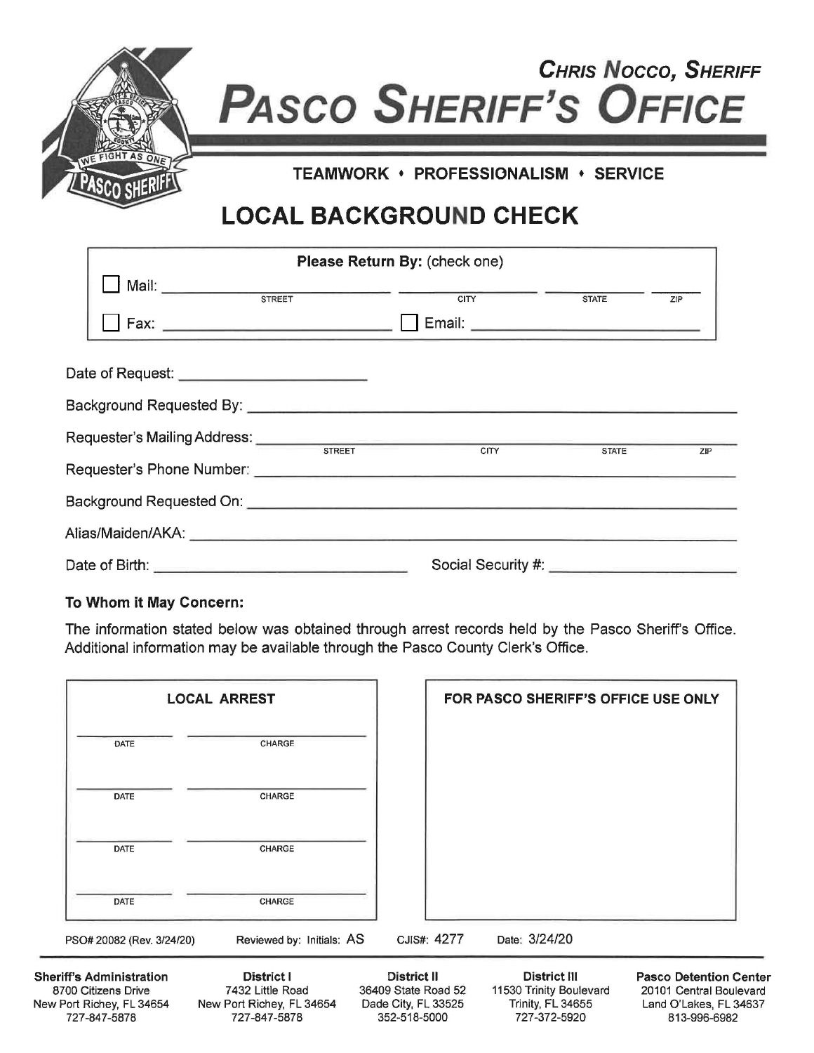| <b>CHRIS NOCCO, SHERIFF</b><br><b>PASCO SHERIFF'S OFFICE</b> |  |  |  |  |
|--------------------------------------------------------------|--|--|--|--|
| TEAMWORK · PROFESSIONALISM · SERVICE                         |  |  |  |  |
| <b>LOCAL BACKGROUND CHECK</b>                                |  |  |  |  |

|                                                                                                                      |               | Please Return By: (check one) |              |     |
|----------------------------------------------------------------------------------------------------------------------|---------------|-------------------------------|--------------|-----|
|                                                                                                                      |               |                               | <b>STATE</b> | ZIP |
| Date of Request: ________________________                                                                            |               |                               |              |     |
|                                                                                                                      |               |                               |              |     |
|                                                                                                                      | <b>STREET</b> | CITY                          | <b>STATE</b> | ZIP |
| Requester's Phone Number: National Contract of the Contract of the Contract of the Contract of the Contract of       |               |                               |              |     |
|                                                                                                                      |               |                               |              |     |
|                                                                                                                      |               |                               |              |     |
| Date of Birth: <u>Communication of Birth: Communication of Birth: Communication of Birth: Communication of Birth</u> |               |                               |              |     |

## **To Whom it May Concern:**

The information stated below was obtained through arrest records held by the Pasco Sheriff's Office. Additional information may be available through the Pasco County Clerk's Office.

| <b>LOCAL ARREST</b>                                                                                 |                                                                             |                                                                                  | FOR PASCO SHERIFF'S OFFICE USE ONLY |                                                                              |                                                                                                    |
|-----------------------------------------------------------------------------------------------------|-----------------------------------------------------------------------------|----------------------------------------------------------------------------------|-------------------------------------|------------------------------------------------------------------------------|----------------------------------------------------------------------------------------------------|
| DATE                                                                                                | CHARGE                                                                      |                                                                                  |                                     |                                                                              |                                                                                                    |
| <b>DATE</b>                                                                                         | CHARGE                                                                      |                                                                                  |                                     |                                                                              |                                                                                                    |
| <b>DATE</b>                                                                                         | CHARGE                                                                      |                                                                                  |                                     |                                                                              |                                                                                                    |
| DATE                                                                                                | CHARGE                                                                      |                                                                                  |                                     |                                                                              |                                                                                                    |
| PSO# 20082 (Rev. 3/24/20)                                                                           | Reviewed by: Initials: AS                                                   |                                                                                  | CJIS#: 4277                         | Date: 3/24/20                                                                |                                                                                                    |
| <b>Sheriff's Administration</b><br>8700 Citizens Drive<br>New Port Richey, FL 34654<br>727-847-5878 | District I<br>7432 Little Road<br>New Port Richey, FL 34654<br>727-847-5878 | <b>District II</b><br>36409 State Road 52<br>Dade City, FL 33525<br>352-518-5000 |                                     | District III<br>11530 Trinity Boulevard<br>Trinity, FL 34655<br>727-372-5920 | <b>Pasco Detention Center</b><br>20101 Central Boulevard<br>Land O'Lakes, FL 34637<br>813-996-6982 |